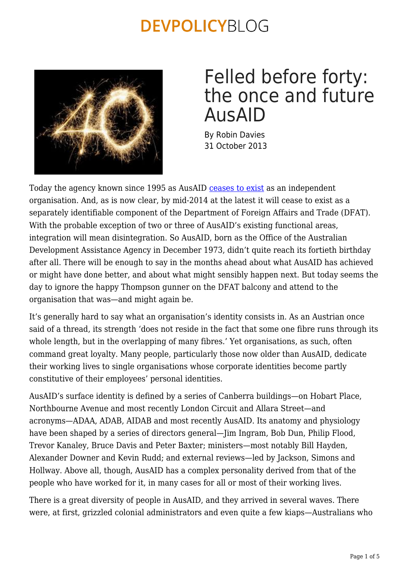

## Felled before forty: the once and future AusAID

By Robin Davies 31 October 2013

Today the agency known since 1995 as AusAID [ceases to exist](http://www.comlaw.gov.au/Details/C2013G01553) as an independent organisation. And, as is now clear, by mid-2014 at the latest it will cease to exist as a separately identifiable component of the Department of Foreign Affairs and Trade (DFAT). With the probable exception of two or three of AusAID's existing functional areas, integration will mean disintegration. So AusAID, born as the Office of the Australian Development Assistance Agency in December 1973, didn't quite reach its fortieth birthday after all. There will be enough to say in the months ahead about what AusAID has achieved or might have done better, and about what might sensibly happen next. But today seems the day to ignore the happy Thompson gunner on the DFAT balcony and attend to the organisation that was—and might again be.

It's generally hard to say what an organisation's identity consists in. As an Austrian once said of a thread, its strength 'does not reside in the fact that some one fibre runs through its whole length, but in the overlapping of many fibres.' Yet organisations, as such, often command great loyalty. Many people, particularly those now older than AusAID, dedicate their working lives to single organisations whose corporate identities become partly constitutive of their employees' personal identities.

AusAID's surface identity is defined by a series of Canberra buildings—on Hobart Place, Northbourne Avenue and most recently London Circuit and Allara Street—and acronyms—ADAA, ADAB, AIDAB and most recently AusAID. Its anatomy and physiology have been shaped by a series of directors general—Jim Ingram, Bob Dun, Philip Flood, Trevor Kanaley, Bruce Davis and Peter Baxter; ministers—most notably Bill Hayden, Alexander Downer and Kevin Rudd; and external reviews—led by Jackson, Simons and Hollway. Above all, though, AusAID has a complex personality derived from that of the people who have worked for it, in many cases for all or most of their working lives.

There is a great diversity of people in AusAID, and they arrived in several waves. There were, at first, grizzled colonial administrators and even quite a few kiaps—Australians who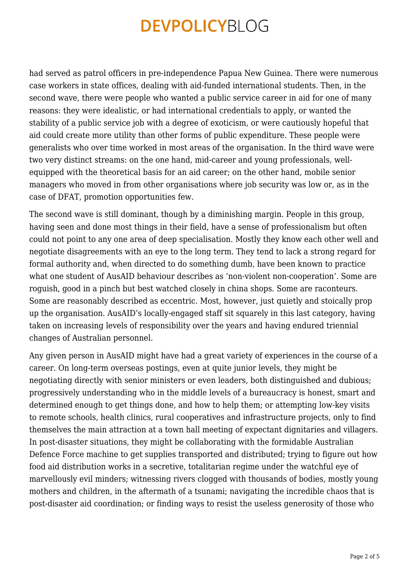had served as patrol officers in pre-independence Papua New Guinea. There were numerous case workers in state offices, dealing with aid-funded international students. Then, in the second wave, there were people who wanted a public service career in aid for one of many reasons: they were idealistic, or had international credentials to apply, or wanted the stability of a public service job with a degree of exoticism, or were cautiously hopeful that aid could create more utility than other forms of public expenditure. These people were generalists who over time worked in most areas of the organisation. In the third wave were two very distinct streams: on the one hand, mid-career and young professionals, wellequipped with the theoretical basis for an aid career; on the other hand, mobile senior managers who moved in from other organisations where job security was low or, as in the case of DFAT, promotion opportunities few.

The second wave is still dominant, though by a diminishing margin. People in this group, having seen and done most things in their field, have a sense of professionalism but often could not point to any one area of deep specialisation. Mostly they know each other well and negotiate disagreements with an eye to the long term. They tend to lack a strong regard for formal authority and, when directed to do something dumb, have been known to practice what one student of AusAID behaviour describes as 'non-violent non-cooperation'. Some are roguish, good in a pinch but best watched closely in china shops. Some are raconteurs. Some are reasonably described as eccentric. Most, however, just quietly and stoically prop up the organisation. AusAID's locally-engaged staff sit squarely in this last category, having taken on increasing levels of responsibility over the years and having endured triennial changes of Australian personnel.

Any given person in AusAID might have had a great variety of experiences in the course of a career. On long-term overseas postings, even at quite junior levels, they might be negotiating directly with senior ministers or even leaders, both distinguished and dubious; progressively understanding who in the middle levels of a bureaucracy is honest, smart and determined enough to get things done, and how to help them; or attempting low-key visits to remote schools, health clinics, rural cooperatives and infrastructure projects, only to find themselves the main attraction at a town hall meeting of expectant dignitaries and villagers. In post-disaster situations, they might be collaborating with the formidable Australian Defence Force machine to get supplies transported and distributed; trying to figure out how food aid distribution works in a secretive, totalitarian regime under the watchful eye of marvellously evil minders; witnessing rivers clogged with thousands of bodies, mostly young mothers and children, in the aftermath of a tsunami; navigating the incredible chaos that is post-disaster aid coordination; or finding ways to resist the useless generosity of those who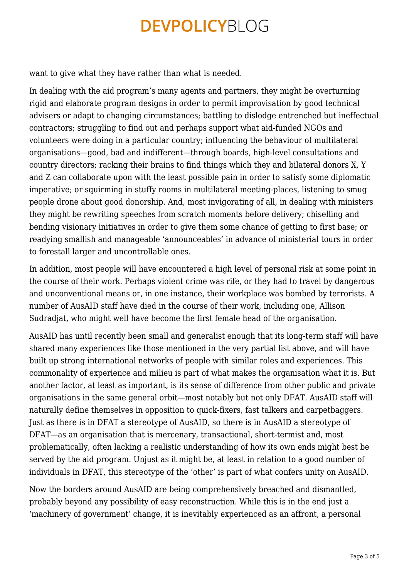want to give what they have rather than what is needed.

In dealing with the aid program's many agents and partners, they might be overturning rigid and elaborate program designs in order to permit improvisation by good technical advisers or adapt to changing circumstances; battling to dislodge entrenched but ineffectual contractors; struggling to find out and perhaps support what aid-funded NGOs and volunteers were doing in a particular country; influencing the behaviour of multilateral organisations—good, bad and indifferent—through boards, high-level consultations and country directors; racking their brains to find things which they and bilateral donors X, Y and Z can collaborate upon with the least possible pain in order to satisfy some diplomatic imperative; or squirming in stuffy rooms in multilateral meeting-places, listening to smug people drone about good donorship. And, most invigorating of all, in dealing with ministers they might be rewriting speeches from scratch moments before delivery; chiselling and bending visionary initiatives in order to give them some chance of getting to first base; or readying smallish and manageable 'announceables' in advance of ministerial tours in order to forestall larger and uncontrollable ones.

In addition, most people will have encountered a high level of personal risk at some point in the course of their work. Perhaps violent crime was rife, or they had to travel by dangerous and unconventional means or, in one instance, their workplace was bombed by terrorists. A number of AusAID staff have died in the course of their work, including one, Allison Sudradjat, who might well have become the first female head of the organisation.

AusAID has until recently been small and generalist enough that its long-term staff will have shared many experiences like those mentioned in the very partial list above, and will have built up strong international networks of people with similar roles and experiences. This commonality of experience and milieu is part of what makes the organisation what it is. But another factor, at least as important, is its sense of difference from other public and private organisations in the same general orbit—most notably but not only DFAT. AusAID staff will naturally define themselves in opposition to quick-fixers, fast talkers and carpetbaggers. Just as there is in DFAT a stereotype of AusAID, so there is in AusAID a stereotype of DFAT—as an organisation that is mercenary, transactional, short-termist and, most problematically, often lacking a realistic understanding of how its own ends might best be served by the aid program. Unjust as it might be, at least in relation to a good number of individuals in DFAT, this stereotype of the 'other' is part of what confers unity on AusAID.

Now the borders around AusAID are being comprehensively breached and dismantled, probably beyond any possibility of easy reconstruction. While this is in the end just a 'machinery of government' change, it is inevitably experienced as an affront, a personal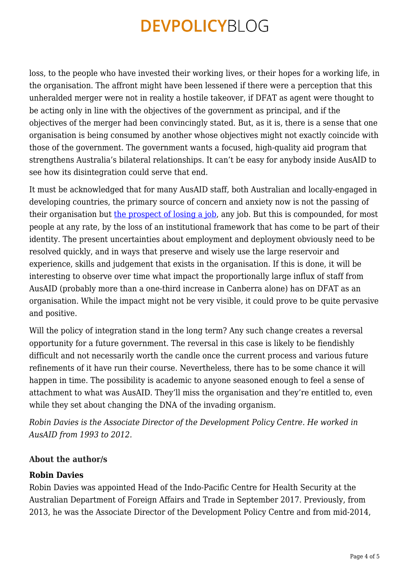loss, to the people who have invested their working lives, or their hopes for a working life, in the organisation. The affront might have been lessened if there were a perception that this unheralded merger were not in reality a hostile takeover, if DFAT as agent were thought to be acting only in line with the objectives of the government as principal, and if the objectives of the merger had been convincingly stated. But, as it is, there is a sense that one organisation is being consumed by another whose objectives might not exactly coincide with those of the government. The government wants a focused, high-quality aid program that strengthens Australia's bilateral relationships. It can't be easy for anybody inside AusAID to see how its disintegration could serve that end.

It must be acknowledged that for many AusAID staff, both Australian and locally-engaged in developing countries, the primary source of concern and anxiety now is not the passing of their organisation but [the prospect of losing a job](https://devpolicy.org/ausaid-staffing-how-low-could-it-go-20131021/), any job. But this is compounded, for most people at any rate, by the loss of an institutional framework that has come to be part of their identity. The present uncertainties about employment and deployment obviously need to be resolved quickly, and in ways that preserve and wisely use the large reservoir and experience, skills and judgement that exists in the organisation. If this is done, it will be interesting to observe over time what impact the proportionally large influx of staff from AusAID (probably more than a one-third increase in Canberra alone) has on DFAT as an organisation. While the impact might not be very visible, it could prove to be quite pervasive and positive.

Will the policy of integration stand in the long term? Any such change creates a reversal opportunity for a future government. The reversal in this case is likely to be fiendishly difficult and not necessarily worth the candle once the current process and various future refinements of it have run their course. Nevertheless, there has to be some chance it will happen in time. The possibility is academic to anyone seasoned enough to feel a sense of attachment to what was AusAID. They'll miss the organisation and they're entitled to, even while they set about changing the DNA of the invading organism.

*Robin Davies is the Associate Director of the Development Policy Centre. He worked in AusAID from 1993 to 2012.*

#### **About the author/s**

#### **Robin Davies**

Robin Davies was appointed Head of the Indo-Pacific Centre for Health Security at the Australian Department of Foreign Affairs and Trade in September 2017. Previously, from 2013, he was the Associate Director of the Development Policy Centre and from mid-2014,